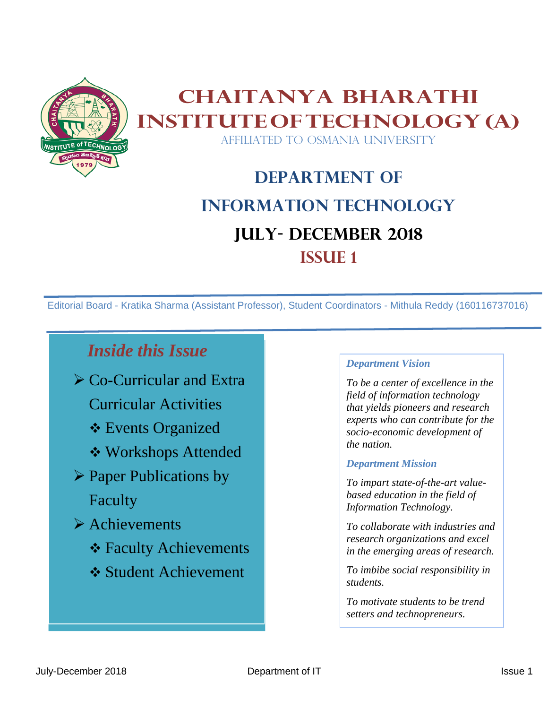

## **Chaitanya Bharathi InstituteofTechnology(A)** AFFILIATED TO OSMANIA UNIVERSITY

# **Department of Information Technology JULY- DECEMBER 2018 ISSUE 1**

Editorial Board - Kratika Sharma (Assistant Professor), Student Coordinators - Mithula Reddy (160116737016)

## *Inside this Issue*

- ➢ Co-Curricular and Extra Curricular Activities
	-
	- ❖ Events Organized
	- ❖ Workshops Attended
- ➢ Paper Publications by Faculty
- ➢ Achievements
	- ❖ Faculty Achievements
	- ❖ Student Achievement

#### *Department Vision*

*To be a center of excellence in the field of information technology that yields pioneers and research experts who can contribute for the socio-economic development of the nation.*

#### *Department Mission*

*To impart state-of-the-art valuebased education in the field of Information Technology.*

*To collaborate with industries and research organizations and excel in the emerging areas of research.*

*To imbibe social responsibility in students.*

*To motivate students to be trend setters and technopreneurs.*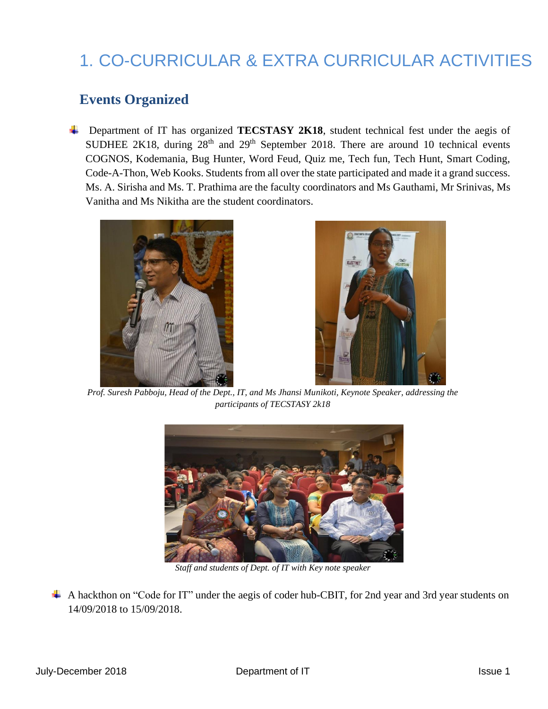# 1. CO-CURRICULAR & EXTRA CURRICULAR ACTIVITIES

#### **Events Organized**

 Department of IT has organized **TECSTASY 2K18**, student technical fest under the aegis of SUDHEE 2K18, during  $28<sup>th</sup>$  and  $29<sup>th</sup>$  September 2018. There are around 10 technical events COGNOS, Kodemania, Bug Hunter, Word Feud, Quiz me, Tech fun, Tech Hunt, Smart Coding, Code-A-Thon, Web Kooks. Students from all over the state participated and made it a grand success. Ms. A. Sirisha and Ms. T. Prathima are the faculty coordinators and Ms Gauthami, Mr Srinivas, Ms Vanitha and Ms Nikitha are the student coordinators.





*Prof. Suresh Pabboju, Head of the Dept., IT, and Ms Jhansi Munikoti, Keynote Speaker, addressing the participants of TECSTASY 2k18*



*Staff and students of Dept. of IT with Key note speaker*

 A hackthon on "Code for IT" under the aegis of coder hub-CBIT, for 2nd year and 3rd year students on 14/09/2018 to 15/09/2018.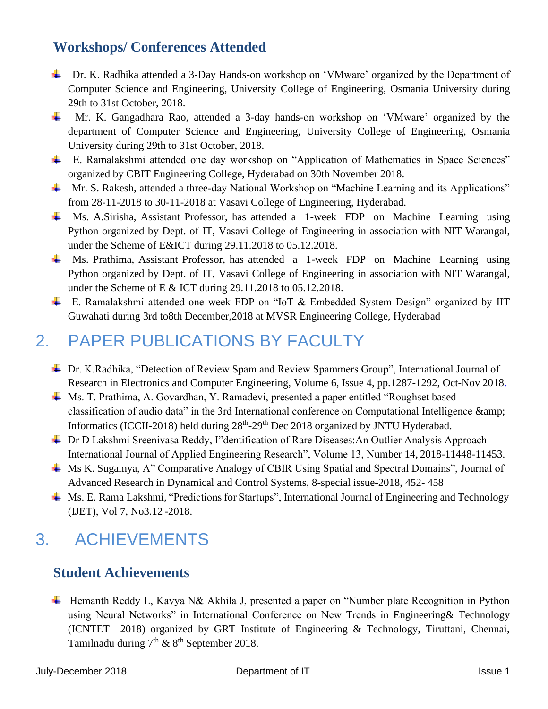### **Workshops/ Conferences Attended**

- Dr. K. Radhika attended a 3-Day Hands-on workshop on 'VMware' organized by the Department of Computer Science and Engineering, University College of Engineering, Osmania University during 29th to 31st October, 2018.
- Mr. K. Gangadhara Rao, attended a 3-day hands-on workshop on 'VMware' organized by the department of Computer Science and Engineering, University College of Engineering, Osmania University during 29th to 31st October, 2018.
- E. Ramalakshmi attended one day workshop on "Application of Mathematics in Space Sciences" organized by CBIT Engineering College, Hyderabad on 30th November 2018.
- <sup> $\pm$ </sup> Mr. S. Rakesh, attended a three-day National Workshop on "Machine Learning and its Applications" from 28-11-2018 to 30-11-2018 at Vasavi College of Engineering, Hyderabad.
- Ms. A.Sirisha, Assistant Professor, has attended a 1-week FDP on Machine Learning using Python organized by Dept. of IT, Vasavi College of Engineering in association with NIT Warangal, under the Scheme of E&ICT during 29.11.2018 to 05.12.2018.
- Ms. Prathima, Assistant Professor, has attended a 1-week FDP on Machine Learning using Python organized by Dept. of IT, Vasavi College of Engineering in association with NIT Warangal, under the Scheme of E & ICT during 29.11.2018 to 05.12.2018.
- E. Ramalakshmi attended one week FDP on "IoT & Embedded System Design" organized by IIT Guwahati during 3rd to8th December,2018 at MVSR Engineering College, Hyderabad

## 2. PAPER PUBLICATIONS BY FACULTY

- Dr. K.Radhika, "Detection of Review Spam and Review Spammers Group", International Journal of Research in Electronics and Computer Engineering, Volume 6, Issue 4, pp.1287-1292, Oct-Nov 2018.
- Ms. T. Prathima, A. Govardhan, Y. Ramadevi, presented a paper entitled "Roughset based classification of audio data" in the 3rd International conference on Computational Intelligence & Informatics (ICCII-2018) held during 28<sup>th</sup>-29<sup>th</sup> Dec 2018 organized by JNTU Hyderabad.
- ↓ Dr D Lakshmi Sreenivasa Reddy, I"dentification of Rare Diseases: An Outlier Analysis Approach International Journal of Applied Engineering Research", Volume 13, Number 14, 2018-11448-11453.
- Ms K. Sugamya, A" Comparative Analogy of CBIR Using Spatial and Spectral Domains", Journal of Advanced Research in Dynamical and Control Systems, 8-special issue-2018, 452- 458
- Ms. E. Rama Lakshmi, "Predictions for Startups", International Journal of Engineering and Technology (IJET), Vol 7, No3.12 -2018.

## 3. ACHIEVEMENTS

#### **Student Achievements**

↓ Hemanth Reddy L, Kavya N& Akhila J, presented a paper on "Number plate Recognition in Python using Neural Networks" in International Conference on New Trends in Engineering& Technology (ICNTET– 2018) organized by GRT Institute of Engineering & Technology, Tiruttani, Chennai, Tamilnadu during  $7<sup>th</sup>$  &  $8<sup>th</sup>$  September 2018.